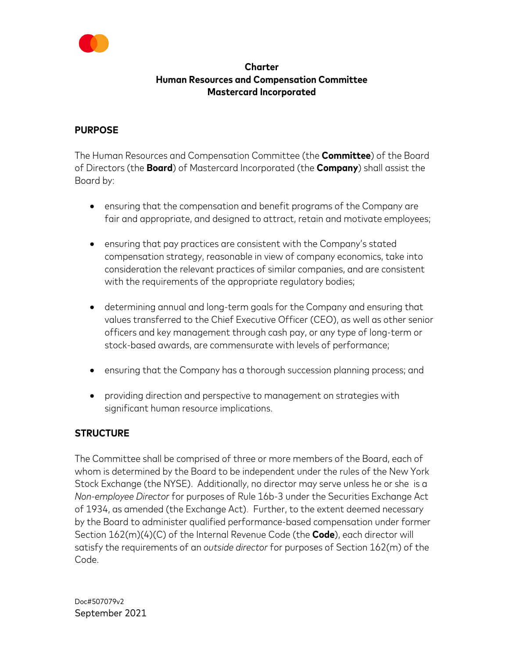

#### **Charter Human Resources and Compensation Committee Mastercard Incorporated**

#### **PURPOSE**

The Human Resources and Compensation Committee (the **Committee**) of the Board of Directors (the **Board**) of Mastercard Incorporated (the **Company**) shall assist the Board by:

- ensuring that the compensation and benefit programs of the Company are fair and appropriate, and designed to attract, retain and motivate employees;
- ensuring that pay practices are consistent with the Company's stated compensation strategy, reasonable in view of company economics, take into consideration the relevant practices of similar companies, and are consistent with the requirements of the appropriate regulatory bodies;
- determining annual and long-term goals for the Company and ensuring that values transferred to the Chief Executive Officer (CEO), as well as other senior officers and key management through cash pay, or any type of long-term or stock-based awards, are commensurate with levels of performance;
- ensuring that the Company has a thorough succession planning process; and
- providing direction and perspective to management on strategies with significant human resource implications.

## **STRUCTURE**

The Committee shall be comprised of three or more members of the Board, each of whom is determined by the Board to be independent under the rules of the New York Stock Exchange (the NYSE). Additionally, no director may serve unless he or she is a *Non-employee Director* for purposes of Rule 16b-3 under the Securities Exchange Act of 1934, as amended (the Exchange Act). Further, to the extent deemed necessary by the Board to administer qualified performance-based compensation under former Section 162(m)(4)(C) of the Internal Revenue Code (the **Code**), each director will satisfy the requirements of an *outside director* for purposes of Section 162(m) of the Code.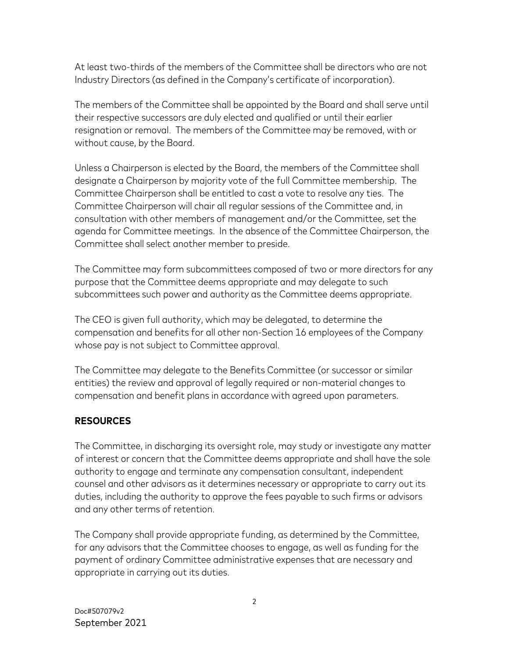At least two-thirds of the members of the Committee shall be directors who are not Industry Directors (as defined in the Company's certificate of incorporation).

The members of the Committee shall be appointed by the Board and shall serve until their respective successors are duly elected and qualified or until their earlier resignation or removal. The members of the Committee may be removed, with or without cause, by the Board.

Unless a Chairperson is elected by the Board, the members of the Committee shall designate a Chairperson by majority vote of the full Committee membership. The Committee Chairperson shall be entitled to cast a vote to resolve any ties. The Committee Chairperson will chair all regular sessions of the Committee and, in consultation with other members of management and/or the Committee, set the agenda for Committee meetings. In the absence of the Committee Chairperson, the Committee shall select another member to preside.

The Committee may form subcommittees composed of two or more directors for any purpose that the Committee deems appropriate and may delegate to such subcommittees such power and authority as the Committee deems appropriate.

The CEO is given full authority, which may be delegated, to determine the compensation and benefits for all other non-Section 16 employees of the Company whose pay is not subject to Committee approval.

The Committee may delegate to the Benefits Committee (or successor or similar entities) the review and approval of legally required or non-material changes to compensation and benefit plans in accordance with agreed upon parameters.

## **RESOURCES**

The Committee, in discharging its oversight role, may study or investigate any matter of interest or concern that the Committee deems appropriate and shall have the sole authority to engage and terminate any compensation consultant, independent counsel and other advisors as it determines necessary or appropriate to carry out its duties, including the authority to approve the fees payable to such firms or advisors and any other terms of retention.

The Company shall provide appropriate funding, as determined by the Committee, for any advisors that the Committee chooses to engage, as well as funding for the payment of ordinary Committee administrative expenses that are necessary and appropriate in carrying out its duties.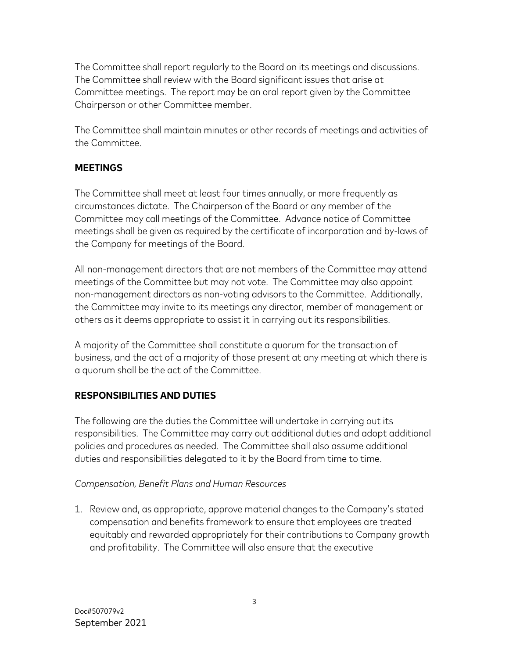The Committee shall report regularly to the Board on its meetings and discussions. The Committee shall review with the Board significant issues that arise at Committee meetings. The report may be an oral report given by the Committee Chairperson or other Committee member.

The Committee shall maintain minutes or other records of meetings and activities of the Committee.

## **MEETINGS**

The Committee shall meet at least four times annually, or more frequently as circumstances dictate. The Chairperson of the Board or any member of the Committee may call meetings of the Committee. Advance notice of Committee meetings shall be given as required by the certificate of incorporation and by-laws of the Company for meetings of the Board.

All non-management directors that are not members of the Committee may attend meetings of the Committee but may not vote. The Committee may also appoint non-management directors as non-voting advisors to the Committee. Additionally, the Committee may invite to its meetings any director, member of management or others as it deems appropriate to assist it in carrying out its responsibilities.

A majority of the Committee shall constitute a quorum for the transaction of business, and the act of a majority of those present at any meeting at which there is a quorum shall be the act of the Committee.

# **RESPONSIBILITIES AND DUTIES**

The following are the duties the Committee will undertake in carrying out its responsibilities. The Committee may carry out additional duties and adopt additional policies and procedures as needed. The Committee shall also assume additional duties and responsibilities delegated to it by the Board from time to time.

## *Compensation, Benefit Plans and Human Resources*

1. Review and, as appropriate, approve material changes to the Company's stated compensation and benefits framework to ensure that employees are treated equitably and rewarded appropriately for their contributions to Company growth and profitability. The Committee will also ensure that the executive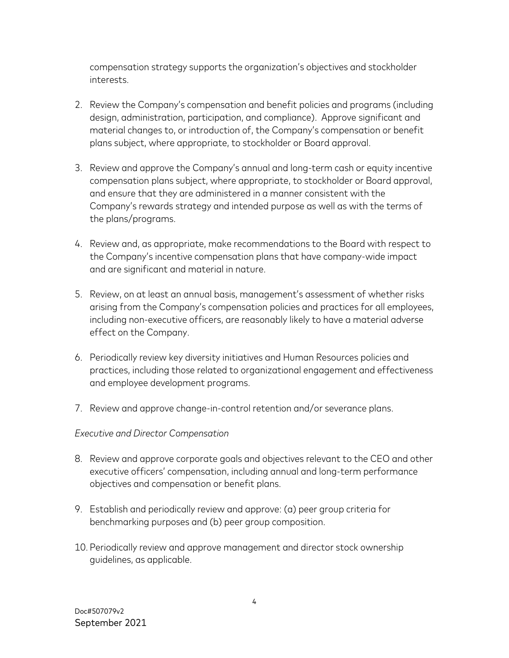compensation strategy supports the organization's objectives and stockholder interests.

- 2. Review the Company's compensation and benefit policies and programs (including design, administration, participation, and compliance). Approve significant and material changes to, or introduction of, the Company's compensation or benefit plans subject, where appropriate, to stockholder or Board approval.
- 3. Review and approve the Company's annual and long-term cash or equity incentive compensation plans subject, where appropriate, to stockholder or Board approval, and ensure that they are administered in a manner consistent with the Company's rewards strategy and intended purpose as well as with the terms of the plans/programs.
- 4. Review and, as appropriate, make recommendations to the Board with respect to the Company's incentive compensation plans that have company-wide impact and are significant and material in nature.
- 5. Review, on at least an annual basis, management's assessment of whether risks arising from the Company's compensation policies and practices for all employees, including non-executive officers, are reasonably likely to have a material adverse effect on the Company.
- 6. Periodically review key diversity initiatives and Human Resources policies and practices, including those related to organizational engagement and effectiveness and employee development programs.
- 7. Review and approve change-in-control retention and/or severance plans.

#### *Executive and Director Compensation*

- 8. Review and approve corporate goals and objectives relevant to the CEO and other executive officers' compensation, including annual and long-term performance objectives and compensation or benefit plans.
- 9. Establish and periodically review and approve: (a) peer group criteria for benchmarking purposes and (b) peer group composition.
- 10. Periodically review and approve management and director stock ownership guidelines, as applicable.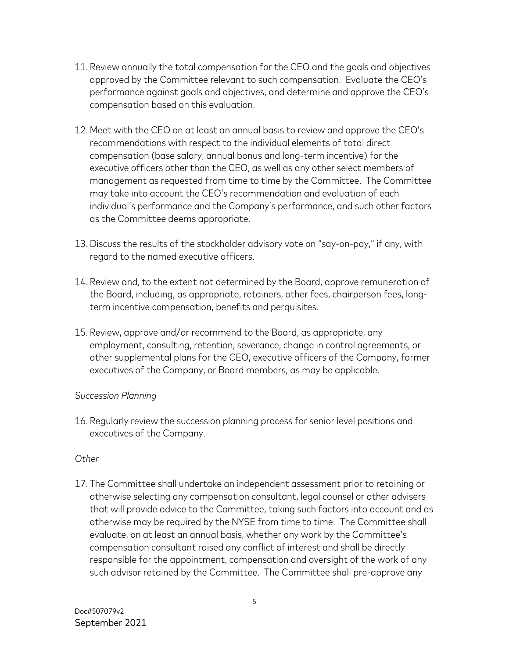- 11. Review annually the total compensation for the CEO and the goals and objectives approved by the Committee relevant to such compensation. Evaluate the CEO's performance against goals and objectives, and determine and approve the CEO's compensation based on this evaluation.
- 12. Meet with the CEO on at least an annual basis to review and approve the CEO's recommendations with respect to the individual elements of total direct compensation (base salary, annual bonus and long-term incentive) for the executive officers other than the CEO, as well as any other select members of management as requested from time to time by the Committee. The Committee may take into account the CEO's recommendation and evaluation of each individual's performance and the Company's performance, and such other factors as the Committee deems appropriate.
- 13.Discuss the results of the stockholder advisory vote on "say-on-pay," if any, with regard to the named executive officers.
- 14. Review and, to the extent not determined by the Board, approve remuneration of the Board, including, as appropriate, retainers, other fees, chairperson fees, longterm incentive compensation, benefits and perquisites.
- 15. Review, approve and/or recommend to the Board, as appropriate, any employment, consulting, retention, severance, change in control agreements, or other supplemental plans for the CEO, executive officers of the Company, former executives of the Company, or Board members, as may be applicable.

#### *Succession Planning*

16. Regularly review the succession planning process for senior level positions and executives of the Company.

#### *Other*

17. The Committee shall undertake an independent assessment prior to retaining or otherwise selecting any compensation consultant, legal counsel or other advisers that will provide advice to the Committee, taking such factors into account and as otherwise may be required by the NYSE from time to time. The Committee shall evaluate, on at least an annual basis, whether any work by the Committee's compensation consultant raised any conflict of interest and shall be directly responsible for the appointment, compensation and oversight of the work of any such advisor retained by the Committee. The Committee shall pre-approve any